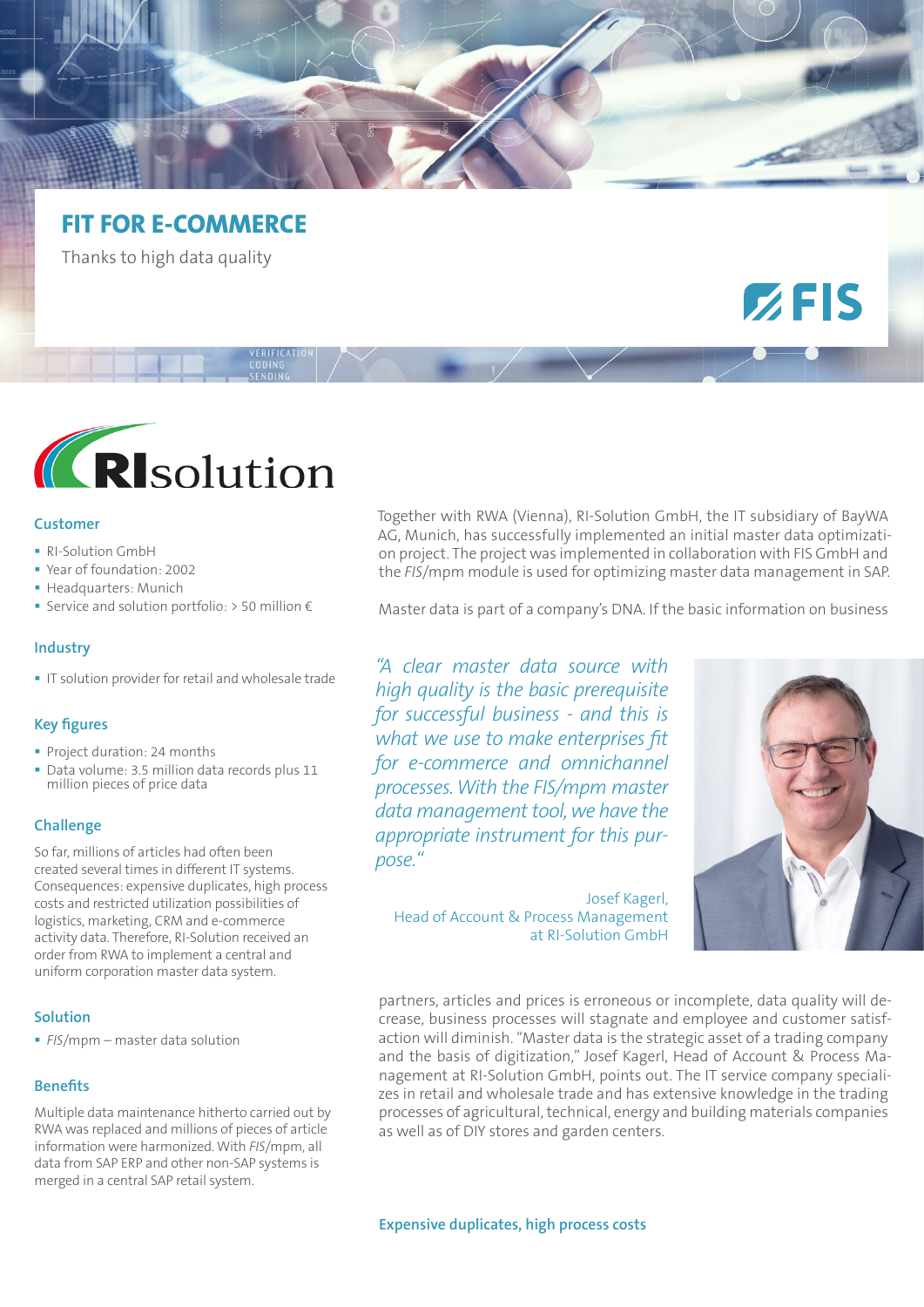# **FIT FOR E-COMMERCE**

Thanks to high data quality



#### **Customer**

- RI-Solution GmbH
- Year of foundation: 2002
- Headquarters: Munich
- Service and solution portfolio: > 50 million €

#### **Industry**

IT solution provider for retail and wholesale trade

# **Key figures**

- **Project duration: 24 months**
- Data volume: 3.5 million data records plus 11 million pieces of price data

# **Challenge**

So far, millions of articles had often been created several times in different IT systems. Consequences: expensive duplicates, high process costs and restricted utilization possibilities of logistics, marketing, CRM and e-commerce activity data. Therefore, RI-Solution received an order from RWA to implement a central and uniform corporation master data system.

# **Solution**

*FIS*/mpm – master data solution

# **Benefits**

Multiple data maintenance hitherto carried out by RWA was replaced and millions of pieces of article information were harmonized. With *FIS*/mpm, all data from SAP ERP and other non-SAP systems is merged in a central SAP retail system.

Together with RWA (Vienna), RI-Solution GmbH, the IT subsidiary of BayWA AG, Munich, has successfully implemented an initial master data optimization project. The project was implemented in collaboration with FIS GmbH and the *FIS*/mpm module is used for optimizing master data management in SAP.

Master data is part of a company's DNA. If the basic information on business

*"A clear master data source with high quality is the basic prerequisite for successful business - and this is what we use to make enterprises fit for e-commerce and omnichannel processes. With the FIS/mpm master data management tool, we have the appropriate instrument for this purpose."*

Josef Kagerl, Head of Account & Process Management at RI-Solution GmbH



 $Z$ FIS

partners, articles and prices is erroneous or incomplete, data quality will decrease, business processes will stagnate and employee and customer satisfaction will diminish. "Master data is the strategic asset of a trading company and the basis of digitization," Josef Kagerl, Head of Account & Process Management at RI-Solution GmbH, points out. The IT service company specializes in retail and wholesale trade and has extensive knowledge in the trading processes of agricultural, technical, energy and building materials companies as well as of DIY stores and garden centers.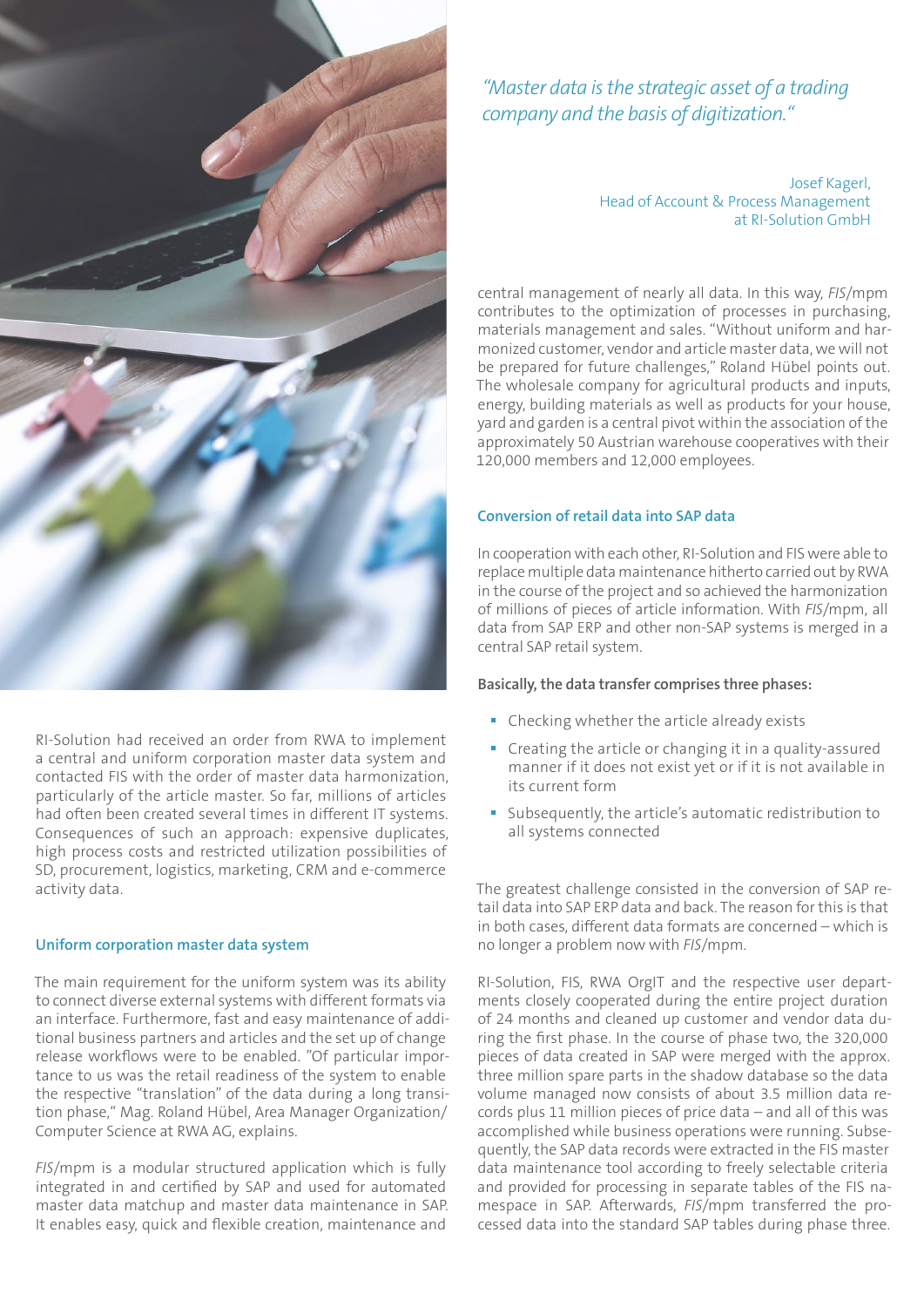

RI-Solution had received an order from RWA to implement a central and uniform corporation master data system and contacted FIS with the order of master data harmonization, particularly of the article master. So far, millions of articles had often been created several times in different IT systems. Consequences of such an approach: expensive duplicates, high process costs and restricted utilization possibilities of SD, procurement, logistics, marketing, CRM and e-commerce activity data.

#### **Uniform corporation master data system**

The main requirement for the uniform system was its ability to connect diverse external systems with different formats via an interface. Furthermore, fast and easy maintenance of additional business partners and articles and the set up of change release workflows were to be enabled. "Of particular importance to us was the retail readiness of the system to enable the respective "translation" of the data during a long transition phase," Mag. Roland Hübel, Area Manager Organization/ Computer Science at RWA AG, explains.

*FIS*/mpm is a modular structured application which is fully integrated in and certified by SAP and used for automated master data matchup and master data maintenance in SAP. It enables easy, quick and flexible creation, maintenance and

*"Master data is the strategic asset of a trading company and the basis of digitization."* 

> Josef Kagerl, Head of Account & Process Management at RI-Solution GmbH

central management of nearly all data. In this way, *FIS*/mpm contributes to the optimization of processes in purchasing, materials management and sales. "Without uniform and harmonized customer, vendor and article master data, we will not be prepared for future challenges," Roland Hübel points out. The wholesale company for agricultural products and inputs, energy, building materials as well as products for your house, yard and garden is a central pivot within the association of the approximately 50 Austrian warehouse cooperatives with their 120,000 members and 12,000 employees.

# **Conversion of retail data into SAP data**

In cooperation with each other, RI-Solution and FIS were able to replace multiple data maintenance hitherto carried out by RWA in the course of the project and so achieved the harmonization of millions of pieces of article information. With *FIS*/mpm, all data from SAP ERP and other non-SAP systems is merged in a central SAP retail system.

# **Basically, the data transfer comprises three phases:**

- Checking whether the article already exists
- Creating the article or changing it in a quality-assured manner if it does not exist yet or if it is not available in its current form
- Subsequently, the article's automatic redistribution to all systems connected

The greatest challenge consisted in the conversion of SAP retail data into SAP ERP data and back. The reason for this is that in both cases, different data formats are concerned – which is no longer a problem now with *FIS*/mpm.

RI-Solution, FIS, RWA OrgIT and the respective user departments closely cooperated during the entire project duration of 24 months and cleaned up customer and vendor data during the first phase. In the course of phase two, the 320,000 pieces of data created in SAP were merged with the approx. three million spare parts in the shadow database so the data volume managed now consists of about 3.5 million data records plus 11 million pieces of price data – and all of this was accomplished while business operations were running. Subsequently, the SAP data records were extracted in the FIS master data maintenance tool according to freely selectable criteria and provided for processing in separate tables of the FIS namespace in SAP. Afterwards, *FIS*/mpm transferred the processed data into the standard SAP tables during phase three.